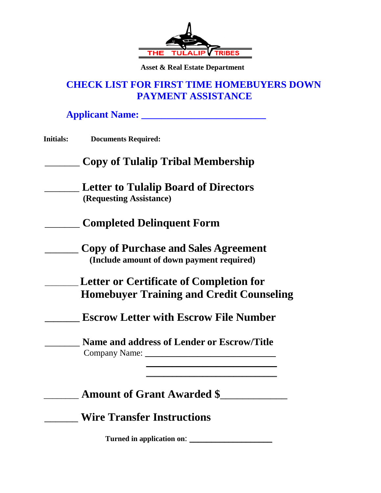

 **Asset & Real Estate Department** 

## **CHECK LIST FOR FIRST TIME HOMEBUYERS DOWN PAYMENT ASSISTANCE**

**Applicant Name: \_\_\_\_\_\_\_\_\_\_\_\_\_\_\_\_\_\_\_\_\_\_\_\_\_**

# \_\_\_\_\_\_\_ **Copy of Tulalip Tribal Membership**

- \_\_\_\_\_\_\_ **Letter to Tulalip Board of Directors (Requesting Assistance)**
- \_\_\_\_\_\_\_ **Completed Delinquent Form**
	- \_\_\_\_\_\_ **Copy of Purchase and Sales Agreement (Include amount of down payment required)**
	- \_\_\_\_\_\_\_\_\_ **Letter or Certificate of Completion for Homebuyer Training and Credit Counseling**
		- **\_\_\_\_\_\_\_\_ Escrow Letter with Escrow File Number**

\_\_\_\_\_\_\_ **Name and address of Lender or Escrow/Title** Company Name: \_\_\_\_\_\_\_\_\_\_\_\_\_\_\_\_\_\_\_\_\_\_\_\_\_\_\_\_\_\_

 $\frac{1}{2}$  ,  $\frac{1}{2}$  ,  $\frac{1}{2}$  ,  $\frac{1}{2}$  ,  $\frac{1}{2}$  ,  $\frac{1}{2}$  ,  $\frac{1}{2}$  ,  $\frac{1}{2}$  ,  $\frac{1}{2}$  ,  $\frac{1}{2}$  ,  $\frac{1}{2}$  ,  $\frac{1}{2}$  ,  $\frac{1}{2}$  ,  $\frac{1}{2}$  ,  $\frac{1}{2}$  ,  $\frac{1}{2}$  ,  $\frac{1}{2}$  ,  $\frac{1}{2}$  ,  $\frac{1$ 

 $\overline{\phantom{a}}$  ,  $\overline{\phantom{a}}$  ,  $\overline{\phantom{a}}$  ,  $\overline{\phantom{a}}$  ,  $\overline{\phantom{a}}$  ,  $\overline{\phantom{a}}$  ,  $\overline{\phantom{a}}$  ,  $\overline{\phantom{a}}$  ,  $\overline{\phantom{a}}$  ,  $\overline{\phantom{a}}$  ,  $\overline{\phantom{a}}$  ,  $\overline{\phantom{a}}$  ,  $\overline{\phantom{a}}$  ,  $\overline{\phantom{a}}$  ,  $\overline{\phantom{a}}$  ,  $\overline{\phantom{a}}$ 

\_\_\_\_\_\_\_\_ **Amount of Grant Awarded \$**\_\_\_\_\_\_\_\_\_\_\_\_

\_\_\_\_\_\_ **Wire Transfer Instructions**

**Turned in application on**: \_\_\_\_\_\_\_\_\_\_\_\_\_\_\_\_\_\_\_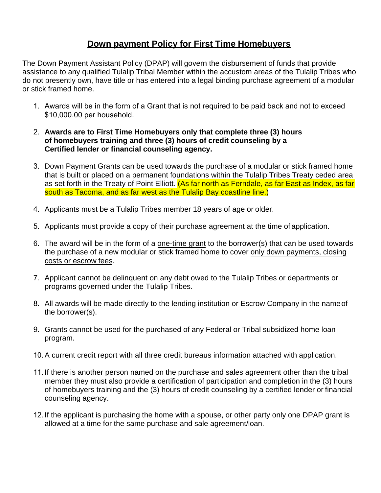## **Down payment Policy for First Time Homebuyers**

The Down Payment Assistant Policy (DPAP) will govern the disbursement of funds that provide assistance to any qualified Tulalip Tribal Member within the accustom areas of the Tulalip Tribes who do not presently own, have title or has entered into a legal binding purchase agreement of a modular or stick framed home.

- 1. Awards will be in the form of a Grant that is not required to be paid back and not to exceed \$10,000.00 per household.
- 2. **Awards are to First Time Homebuyers only that complete three (3) hours of homebuyers training and three (3) hours of credit counseling by a Certified lender or financial counseling agency.**
- 3. Down Payment Grants can be used towards the purchase of a modular or stick framed home that is built or placed on a permanent foundations within the Tulalip Tribes Treaty ceded area as set forth in the Treaty of Point Elliott. (As far north as Ferndale, as far East as Index, as far south as Tacoma, and as far west as the Tulalip Bay coastline line.)
- 4. Applicants must be a Tulalip Tribes member 18 years of age or older.
- 5. Applicants must provide a copy of their purchase agreement at the time of application.
- 6. The award will be in the form of a one-time grant to the borrower(s) that can be used towards the purchase of a new modular or stick framed home to cover only down payments, closing costs or escrow fees.
- 7. Applicant cannot be delinquent on any debt owed to the Tulalip Tribes or departments or programs governed under the Tulalip Tribes.
- 8. All awards will be made directly to the lending institution or Escrow Company in the nameof the borrower(s).
- 9. Grants cannot be used for the purchased of any Federal or Tribal subsidized home loan program.
- 10.A current credit report with all three credit bureaus information attached with application.
- 11. If there is another person named on the purchase and sales agreement other than the tribal member they must also provide a certification of participation and completion in the (3) hours of homebuyers training and the (3) hours of credit counseling by a certified lender or financial counseling agency.
- 12. If the applicant is purchasing the home with a spouse, or other party only one DPAP grant is allowed at a time for the same purchase and sale agreement/loan.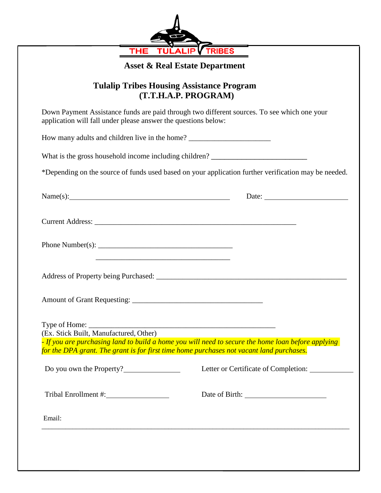

# **Asset & Real Estate Department**

#### **Tulalip Tribes Housing Assistance Program (T.T.H.A.P. PROGRAM)**

| (I.I.H.A.P. PRUGRANI)                                                                                                                                                                                                                                                                                             |                                                                                                      |
|-------------------------------------------------------------------------------------------------------------------------------------------------------------------------------------------------------------------------------------------------------------------------------------------------------------------|------------------------------------------------------------------------------------------------------|
| Down Payment Assistance funds are paid through two different sources. To see which one your<br>application will fall under please answer the questions below:                                                                                                                                                     |                                                                                                      |
| How many adults and children live in the home? _________________________________                                                                                                                                                                                                                                  |                                                                                                      |
| What is the gross household income including children? __________________________                                                                                                                                                                                                                                 |                                                                                                      |
|                                                                                                                                                                                                                                                                                                                   | *Depending on the source of funds used based on your application further verification may be needed. |
|                                                                                                                                                                                                                                                                                                                   | Date: $\qquad \qquad$                                                                                |
|                                                                                                                                                                                                                                                                                                                   |                                                                                                      |
| Phone Number(s): $\frac{1}{2}$ $\frac{1}{2}$ $\frac{1}{2}$ $\frac{1}{2}$ $\frac{1}{2}$ $\frac{1}{2}$ $\frac{1}{2}$ $\frac{1}{2}$ $\frac{1}{2}$ $\frac{1}{2}$ $\frac{1}{2}$ $\frac{1}{2}$ $\frac{1}{2}$ $\frac{1}{2}$ $\frac{1}{2}$ $\frac{1}{2}$ $\frac{1}{2}$ $\frac{1}{2}$ $\frac{1}{2}$ $\frac{1}{2}$ $\frac{$ |                                                                                                      |
| <u> 1989 - Johann Stein, marwolaethau a bhann an t-Amhain an t-Amhain an t-Amhain an t-Amhain an t-Amhain an t-A</u>                                                                                                                                                                                              |                                                                                                      |
| (Ex. Stick Built, Manufactured, Other)<br>for the DPA grant. The grant is for first time home purchases not vacant land purchases.                                                                                                                                                                                | - If you are purchasing land to build a home you will need to secure the home loan before applying   |
| Do you own the Property?                                                                                                                                                                                                                                                                                          | Letter or Certificate of Completion:                                                                 |
|                                                                                                                                                                                                                                                                                                                   |                                                                                                      |
| Email:                                                                                                                                                                                                                                                                                                            |                                                                                                      |
|                                                                                                                                                                                                                                                                                                                   |                                                                                                      |
|                                                                                                                                                                                                                                                                                                                   |                                                                                                      |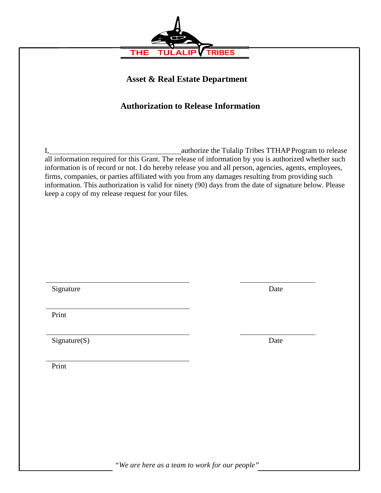

**Asset & Real Estate Department** 

## **Authorization to Release Information**

I, authorize the Tulalip Tribes TTHAP Program to release all information required for this Grant. The release of information by you is authorized whether such information is of record or not. I do hereby release you and all person, agencies, agents, employees, firms, companies, or parties affiliated with you from any damages resulting from providing such information. This authorization is valid for ninety (90) days from the date of signature below. Please keep a copy of my release request for your files.

Signature Date

Print

Signature(S) Date

Print

*"We are here as a team to work for our people"*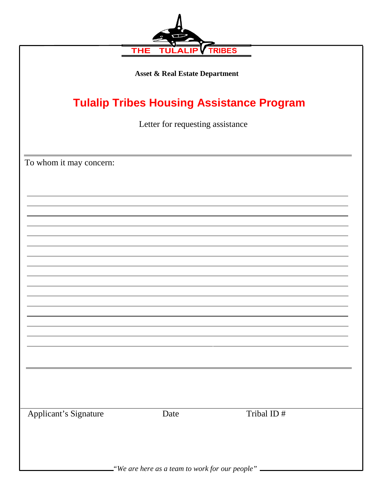| <b>TRIBES</b><br><b>THE</b><br>ΤΙ<br><b>Asset &amp; Real Estate Department</b><br><b>Tulalip Tribes Housing Assistance Program</b> |      |            |  |                                  |  |  |
|------------------------------------------------------------------------------------------------------------------------------------|------|------------|--|----------------------------------|--|--|
|                                                                                                                                    |      |            |  | Letter for requesting assistance |  |  |
|                                                                                                                                    |      |            |  | To whom it may concern:          |  |  |
|                                                                                                                                    |      |            |  |                                  |  |  |
|                                                                                                                                    |      |            |  |                                  |  |  |
|                                                                                                                                    |      |            |  |                                  |  |  |
|                                                                                                                                    |      |            |  |                                  |  |  |
|                                                                                                                                    |      |            |  |                                  |  |  |
|                                                                                                                                    |      |            |  |                                  |  |  |
|                                                                                                                                    |      |            |  |                                  |  |  |
|                                                                                                                                    |      |            |  |                                  |  |  |
|                                                                                                                                    |      |            |  |                                  |  |  |
| <b>Applicant's Signature</b>                                                                                                       | Date | Tribal ID# |  |                                  |  |  |
|                                                                                                                                    |      |            |  |                                  |  |  |